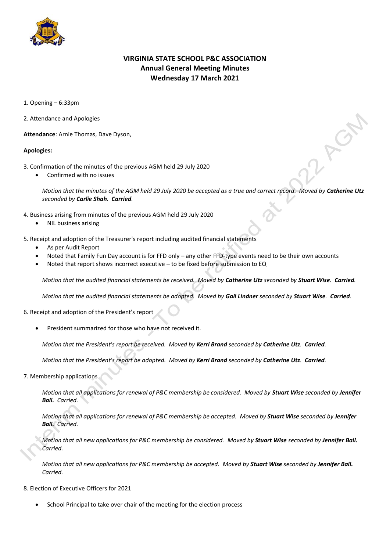

## **VIRGINIA STATE SCHOOL P&C ASSOCIATION Annual General Meeting Minutes Wednesday 17 March 2021**

1. Opening – 6:33pm

2. Attendance and Apologies

**Attendance**: Arnie Thomas, Dave Dyson,

## **Apologies:**

- 3. Confirmation of the minutes of the previous AGM held 29 July 2020
	- Confirmed with no issues

*Motion that the minutes of the AGM held 29 July 2020 be accepted as a true and correct record. Moved by Catherine Utz seconded by Carlie Shah. Carried.*

- 4. Business arising from minutes of the previous AGM held 29 July 2020
	- NIL business arising
- 5. Receipt and adoption of the Treasurer's report including audited financial statements
	- As per Audit Report
	- Noted that Family Fun Day account is for FFD only any other FFD-type events need to be their own accounts
	- Noted that report shows incorrect executive to be fixed before submission to EQ

*Motion that the audited financial statements be received. Moved by Catherine Utz seconded by Stuart Wise. Carried.*

*Motion that the audited financial statements be adopted. Moved by Gail Lindner seconded by Stuart Wise. Carried.*

6. Receipt and adoption of the President's report

President summarized for those who have not received it.

*Motion that the President's report be received. Moved by Kerri Brand seconded by Catherine Utz. Carried.*

*Motion that the President's report be adopted. Moved by Kerri Brand seconded by Catherine Utz. Carried.*

7. Membership applications

*Motion that all applications for renewal of P&C membership be considered. Moved by Stuart Wise seconded by Jennifer Ball. Carried.*

*Motion that all applications for renewal of P&C membership be accepted. Moved by Stuart Wise seconded by Jennifer Ball. Carried.*

*Motion that all new applications for P&C membership be considered. Moved by Stuart Wise seconded by Jennifer Ball. Carried.*

*Motion that all new applications for P&C membership be accepted. Moved by Stuart Wise seconded by Jennifer Ball. Carried.*

## 8. Election of Executive Officers for 2021

School Principal to take over chair of the meeting for the election process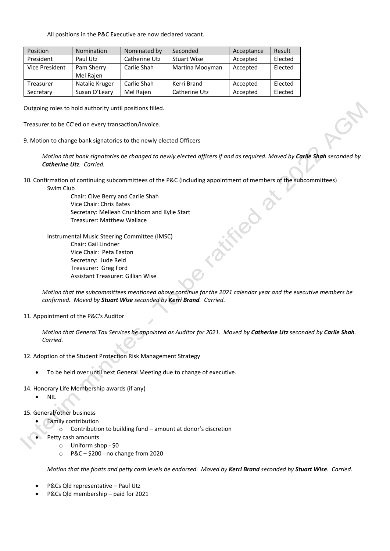All positions in the P&C Executive are now declared vacant.

| Position       | <b>Nomination</b> | Nominated by  | Seconded           | Acceptance | Result  |
|----------------|-------------------|---------------|--------------------|------------|---------|
| President      | Paul Utz          | Catherine Utz | <b>Stuart Wise</b> | Accepted   | Elected |
| Vice President | Pam Sherry        | Carlie Shah   | Martina Mooyman    | Accepted   | Elected |
|                | Mel Rajen         |               |                    |            |         |
| Treasurer      | Natalie Kruger    | Carlie Shah   | Kerri Brand        | Accepted   | Elected |
| Secretary      | Susan O'Leary     | Mel Rajen     | Catherine Utz      | Accepted   | Elected |

Outgoing roles to hold authority until positions filled.

Treasurer to be CC'ed on every transaction/invoice.

9. Motion to change bank signatories to the newly elected Officers

*Motion that bank signatories be changed to newly elected officers if and as required. Moved by Carlie Shah seconded by Catherine Utz. Carried.*

FIRD

10. Confirmation of continuing subcommittees of the P&C (including appointment of members of the subcommittees) Swim Club

> Chair: Clive Berry and Carlie Shah Vice Chair: Chris Bates Secretary: Melleah Crunkhorn and Kylie Start Treasurer: Matthew Wallace

Instrumental Music Steering Committee (IMSC) Chair: Gail Lindner Vice Chair: Peta Easton Secretary: Jude Reid Treasurer: Greg Ford Assistant Treasurer: Gillian Wise

*Motion that the subcommittees mentioned above continue for the 2021 calendar year and the executive members be confirmed. Moved by Stuart Wise seconded by Kerri Brand. Carried.*

11. Appointment of the P&C's Auditor

*Motion that General Tax Services be appointed as Auditor for 2021. Moved by Catherine Utz seconded by Carlie Shah. Carried.*

- 12. Adoption of the Student Protection Risk Management Strategy
	- To be held over until next General Meeting due to change of executive.
- 14. Honorary Life Membership awards (if any)
	- NIL
- 15. General/other business
	- Family contribution
		- o Contribution to building fund amount at donor's discretion
	- Petty cash amounts
		- o Uniform shop \$0
			- o P&C \$200 no change from 2020

*Motion that the floats and petty cash levels be endorsed. Moved by Kerri Brand seconded by Stuart Wise. Carried.*

- P&Cs Qld representative Paul Utz
- P&Cs Qld membership paid for 2021